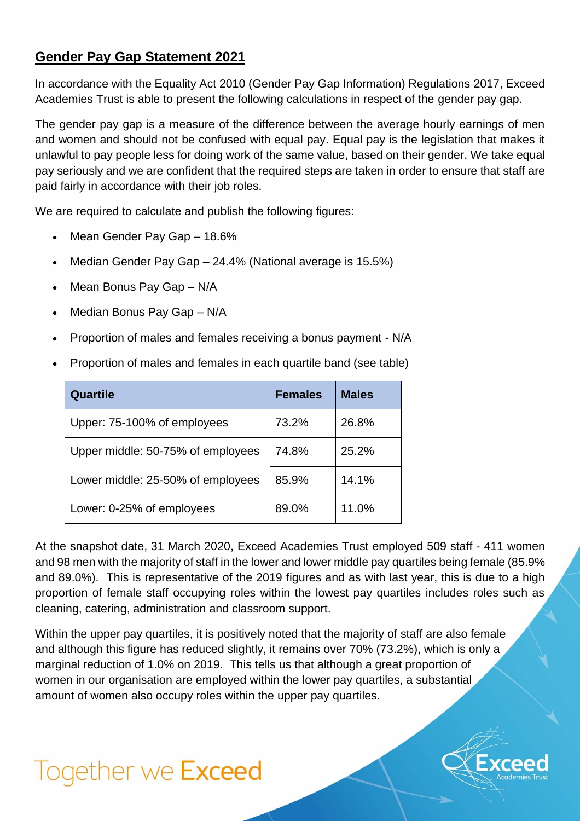## **Gender Pay Gap Statement 2021**

In accordance with the Equality Act 2010 (Gender Pay Gap Information) Regulations 2017, Exceed Academies Trust is able to present the following calculations in respect of the gender pay gap.

The gender pay gap is a measure of the difference between the average hourly earnings of men and women and should not be confused with equal pay. Equal pay is the legislation that makes it unlawful to pay people less for doing work of the same value, based on their gender. We take equal pay seriously and we are confident that the required steps are taken in order to ensure that staff are paid fairly in accordance with their job roles.

We are required to calculate and publish the following figures:

- Mean Gender Pay Gap 18.6%
- Median Gender Pay Gap 24.4% (National average is 15.5%)
- Mean Bonus Pay Gap N/A
- Median Bonus Pay Gap N/A
- Proportion of males and females receiving a bonus payment N/A
- Proportion of males and females in each quartile band (see table)

| Quartile                          | <b>Females</b> | <b>Males</b> |
|-----------------------------------|----------------|--------------|
| Upper: 75-100% of employees       | 73.2%          | 26.8%        |
| Upper middle: 50-75% of employees | 74.8%          | 25.2%        |
| Lower middle: 25-50% of employees | 85.9%          | 14.1%        |
| Lower: 0-25% of employees         | 89.0%          | 11.0%        |

At the snapshot date, 31 March 2020, Exceed Academies Trust employed 509 staff - 411 women and 98 men with the majority of staff in the lower and lower middle pay quartiles being female (85.9% and 89.0%). This is representative of the 2019 figures and as with last year, this is due to a high proportion of female staff occupying roles within the lowest pay quartiles includes roles such as cleaning, catering, administration and classroom support.

Within the upper pay quartiles, it is positively noted that the majority of staff are also female and although this figure has reduced slightly, it remains over 70% (73.2%), which is only a marginal reduction of 1.0% on 2019. This tells us that although a great proportion of women in our organisation are employed within the lower pay quartiles, a substantial amount of women also occupy roles within the upper pay quartiles.

## Together we Exceed